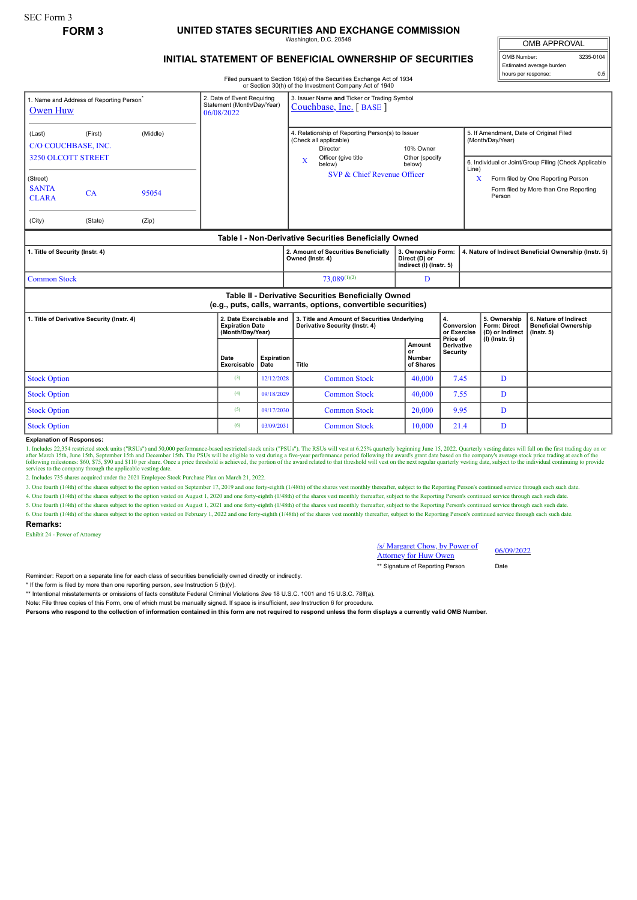# **FORM 3 UNITED STATES SECURITIES AND EXCHANGE COMMISSION**

Washington, D.C. 20549

## **INITIAL STATEMENT OF BENEFICIAL OWNERSHIP OF SECURITIES**

Filed pursuant to Section 16(a) of the Securities Exchange Act of 1934

|                                                                                   |                                                      |                |                                                                        |                    | or Section 30(h) of the Investment Company Act of 1940                                                                                   |                                                                |                                                       |                                                                                                                                                              |                                                                          |  |
|-----------------------------------------------------------------------------------|------------------------------------------------------|----------------|------------------------------------------------------------------------|--------------------|------------------------------------------------------------------------------------------------------------------------------------------|----------------------------------------------------------------|-------------------------------------------------------|--------------------------------------------------------------------------------------------------------------------------------------------------------------|--------------------------------------------------------------------------|--|
| Owen Huw                                                                          | 1. Name and Address of Reporting Person <sup>®</sup> |                | 2. Date of Event Requiring<br>Statement (Month/Day/Year)<br>06/08/2022 |                    | 3. Issuer Name and Ticker or Trading Symbol<br>Couchbase, Inc. [BASE]                                                                    |                                                                |                                                       |                                                                                                                                                              |                                                                          |  |
| (Middle)<br>(Last)<br>(First)<br>C/O COUCHBASE, INC.<br><b>3250 OLCOTT STREET</b> |                                                      |                |                                                                        |                    | 4. Relationship of Reporting Person(s) to Issuer<br>(Check all applicable)<br>Director<br>Officer (give title<br>$\overline{\mathbf{X}}$ | 10% Owner<br>Other (specify                                    |                                                       | 5. If Amendment, Date of Original Filed<br>(Month/Day/Year)                                                                                                  |                                                                          |  |
| (Street)<br><b>SANTA</b><br><b>CLARA</b><br>(City)                                | CA<br>(State)                                        | 95054<br>(Zip) |                                                                        |                    | below)<br>SVP & Chief Revenue Officer                                                                                                    | below)                                                         |                                                       | 6. Individual or Joint/Group Filing (Check Applicable<br>Line)<br>Form filed by One Reporting Person<br>x<br>Form filed by More than One Reporting<br>Person |                                                                          |  |
|                                                                                   |                                                      |                |                                                                        |                    | Table I - Non-Derivative Securities Beneficially Owned                                                                                   |                                                                |                                                       |                                                                                                                                                              |                                                                          |  |
| 1. Title of Security (Instr. 4)                                                   |                                                      |                |                                                                        |                    | 2. Amount of Securities Beneficially<br>Owned (Instr. 4)                                                                                 | 3. Ownership Form:<br>Direct (D) or<br>Indirect (I) (Instr. 5) | 4. Nature of Indirect Beneficial Ownership (Instr. 5) |                                                                                                                                                              |                                                                          |  |
| <b>Common Stock</b>                                                               |                                                      |                |                                                                        |                    | $73.089^{(1)(2)}$                                                                                                                        | D                                                              |                                                       |                                                                                                                                                              |                                                                          |  |
|                                                                                   |                                                      |                |                                                                        |                    | Table II - Derivative Securities Beneficially Owned<br>(e.g., puts, calls, warrants, options, convertible securities)                    |                                                                |                                                       |                                                                                                                                                              |                                                                          |  |
| 1. Title of Derivative Security (Instr. 4)                                        |                                                      |                | 2. Date Exercisable and<br><b>Expiration Date</b><br>(Month/Day/Year)  |                    | 3. Title and Amount of Securities Underlying<br>Derivative Security (Instr. 4)                                                           |                                                                | $\mathbf{4}$<br>Conversion<br>or Exercise             | 5. Ownership<br>Form: Direct<br>(D) or Indirect                                                                                                              | 6. Nature of Indirect<br><b>Beneficial Ownership</b><br>$($ Instr. 5 $)$ |  |
|                                                                                   |                                                      |                | Date<br>Exercisable                                                    | Expiration<br>Date | Title                                                                                                                                    | Amount<br>or<br><b>Number</b><br>of Shares                     | Price of<br><b>Derivative</b><br><b>Security</b>      | (I) (Instr. 5)                                                                                                                                               |                                                                          |  |
| <b>Stock Option</b>                                                               |                                                      |                |                                                                        | 12/12/2028         | <b>Common Stock</b>                                                                                                                      | 40,000                                                         | 7.45                                                  | D                                                                                                                                                            |                                                                          |  |
| <b>Stock Option</b><br>(4)                                                        |                                                      |                |                                                                        | 09/18/2029         | <b>Common Stock</b>                                                                                                                      | 40,000                                                         | 7.55                                                  | D                                                                                                                                                            |                                                                          |  |
| <b>Stock Option</b><br>(5)                                                        |                                                      |                |                                                                        | 09/17/2030         | <b>Common Stock</b>                                                                                                                      | 20,000                                                         | 9.95                                                  | D                                                                                                                                                            |                                                                          |  |
| <b>Stock Option</b>                                                               |                                                      |                | (6)                                                                    | 03/09/2031         | <b>Common Stock</b>                                                                                                                      | 10.000                                                         | 21.4                                                  | D                                                                                                                                                            |                                                                          |  |

**Explanation of Responses:**

1. Includes 22,354 restricted stock units ("RSUs") and 50,000 performance-based restricted stock units ("PSUs"). The RSUs will vest at 6.25% quarterly beginning June 15, 2022. Quarterly vesting dates will fall on the first services to the company through the applicable vesting date.

2. Includes 735 shares acquired under the 2021 Employee Stock Purchase Plan on March 21, 2022.

3. One fourth (1/4th) of the shares subject to the option vested on September 17, 2019 and one forty-eighth (1/48th) of the shares vest monthly thereafter, subject to the Reporting Person's continued service through each s

4. One fourth (1/4th) of the shares subject to the option vested on August 1, 2020 and one forty-eighth (1/48th) of the shares vest monthly thereafter, subject to the Reporting Person's continued service through each such

5. One fourth (1/4th) of the shares subject to the option vested on August 1, 2021 and one forty-eighth (1/48th) of the shares vest monthly thereafter, subject to the Reporting Person's continued service through each such

6. One fourth (1/4th) of the shares subject to the option vested on February 1, 2022 and one forty-eighth (1/48th) of the shares vest monthly thereafter, subject to the Reporting Person's continued service through each suc

#### **Remarks:**

Exhibit 24 - Power of Attorney

### /s/ Margaret Chow, by Power of  $\frac{\text{S}}{\text{S}}$  Margaret Chow, by Power of 06/09/2022<br>Attorney for Huw Owen

\*\* Signature of Reporting Person Date

OMB APPROVAL OMB Number: 3235-0104

hours per response: 0.5

Estimated average burden

Reminder: Report on a separate line for each class of securities beneficially owned directly or indirectly.

\* If the form is filed by more than one reporting person, *see* Instruction 5 (b)(v).

\*\* Intentional misstatements or omissions of facts constitute Federal Criminal Violations *See* 18 U.S.C. 1001 and 15 U.S.C. 78ff(a).

Note: File three copies of this Form, one of which must be manually signed. If space is insufficient, *see* Instruction 6 for procedure.

**Persons who respond to the collection of information contained in this form are not required to respond unless the form displays a currently valid OMB Number.**